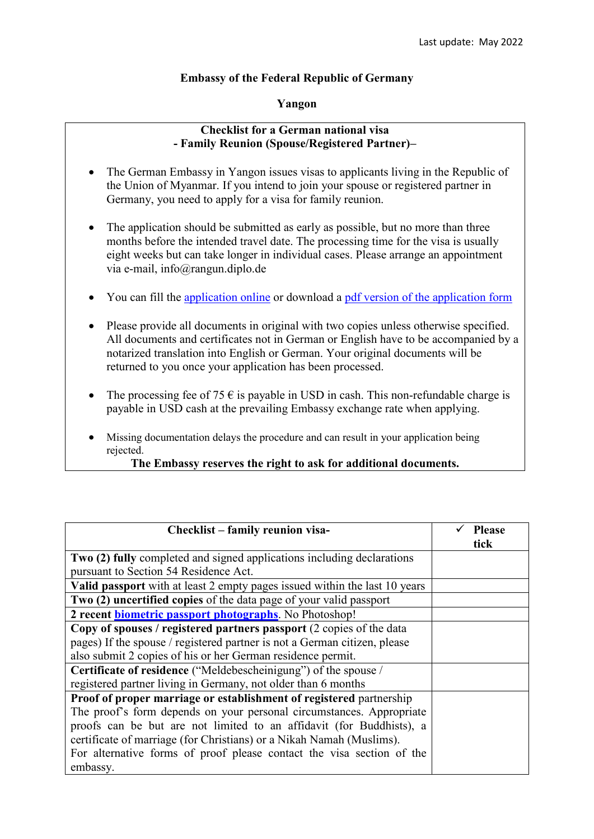## **Embassy of the Federal Republic of Germany**

## **Yangon**

## **Checklist for a German national visa - Family Reunion (Spouse/Registered Partner)–**

- The German Embassy in Yangon issues visas to applicants living in the Republic of the Union of Myanmar. If you intend to join your spouse or registered partner in Germany, you need to apply for a visa for family reunion.
- The application should be submitted as early as possible, but no more than three months before the intended travel date. The processing time for the visa is usually eight weeks but can take longer in individual cases. Please arrange an appointment via e-mail, info@rangun.diplo.de
- You can fill the [application online](https://videx-national.diplo.de/videx/visum-erfassung/#/videx-langfristiger-aufenthalt) or download a [pdf version of the application form](https://rangun.diplo.de/blob/1673600/2a17cac760469832eddb69af5455d3c9/neuer-inhalt-data.pdf)
- Please provide all documents in original with two copies unless otherwise specified. All documents and certificates not in German or English have to be accompanied by a notarized translation into English or German. Your original documents will be returned to you once your application has been processed.
- The processing fee of 75  $\epsilon$  is payable in USD in cash. This non-refundable charge is payable in USD cash at the prevailing Embassy exchange rate when applying.
- Missing documentation delays the procedure and can result in your application being rejected.

## **The Embassy reserves the right to ask for additional documents.**

| Checklist - family reunion visa-                                           | <b>Please</b><br>tick |
|----------------------------------------------------------------------------|-----------------------|
|                                                                            |                       |
| Two (2) fully completed and signed applications including declarations     |                       |
| pursuant to Section 54 Residence Act.                                      |                       |
| Valid passport with at least 2 empty pages issued within the last 10 years |                       |
| Two (2) uncertified copies of the data page of your valid passport         |                       |
| 2 recent <b>biometric passport photographs</b> . No Photoshop!             |                       |
| Copy of spouses / registered partners passport (2 copies of the data       |                       |
| pages) If the spouse / registered partner is not a German citizen, please  |                       |
| also submit 2 copies of his or her German residence permit.                |                       |
| Certificate of residence ("Meldebescheinigung") of the spouse /            |                       |
| registered partner living in Germany, not older than 6 months              |                       |
| Proof of proper marriage or establishment of registered partnership        |                       |
| The proof's form depends on your personal circumstances. Appropriate       |                       |
| proofs can be but are not limited to an affidavit (for Buddhists), a       |                       |
| certificate of marriage (for Christians) or a Nikah Namah (Muslims).       |                       |
| For alternative forms of proof please contact the visa section of the      |                       |
| embassy.                                                                   |                       |